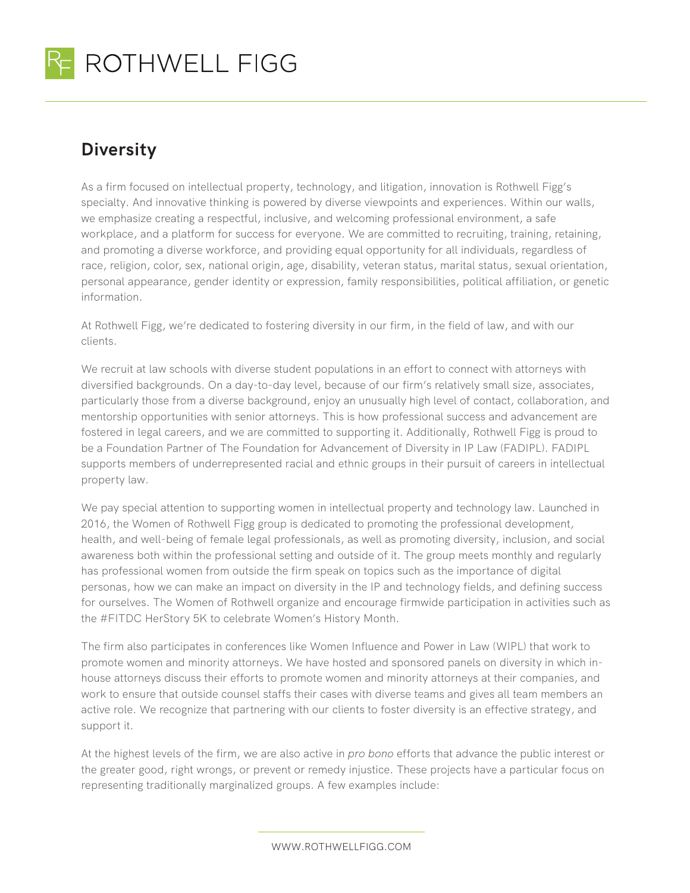

## **Diversity**

As a firm focused on intellectual property, technology, and litigation, innovation is Rothwell Figg's specialty. And innovative thinking is powered by diverse viewpoints and experiences. Within our walls, we emphasize creating a respectful, inclusive, and welcoming professional environment, a safe workplace, and a platform for success for everyone. We are committed to recruiting, training, retaining, and promoting a diverse workforce, and providing equal opportunity for all individuals, regardless of race, religion, color, sex, national origin, age, disability, veteran status, marital status, sexual orientation, personal appearance, gender identity or expression, family responsibilities, political affiliation, or genetic information.

At Rothwell Figg, we're dedicated to fostering diversity in our firm, in the field of law, and with our clients.

We recruit at law schools with diverse student populations in an effort to connect with attorneys with diversified backgrounds. On a day-to-day level, because of our firm's relatively small size, associates, particularly those from a diverse background, enjoy an unusually high level of contact, collaboration, and mentorship opportunities with senior attorneys. This is how professional success and advancement are fostered in legal careers, and we are committed to supporting it. Additionally, Rothwell Figg is proud to be a Foundation Partner of The Foundation for Advancement of Diversity in IP Law (FADIPL). FADIPL supports members of underrepresented racial and ethnic groups in their pursuit of careers in intellectual property law.

We pay special attention to supporting women in intellectual property and technology law. Launched in 2016, the Women of Rothwell Figg group is dedicated to promoting the professional development, health, and well-being of female legal professionals, as well as promoting diversity, inclusion, and social awareness both within the professional setting and outside of it. The group meets monthly and regularly has professional women from outside the firm speak on topics such as the importance of digital personas, how we can make an impact on diversity in the IP and technology fields, and defining success for ourselves. The Women of Rothwell organize and encourage firmwide participation in activities such as the #FITDC HerStory 5K to celebrate Women's History Month.

The firm also participates in conferences like Women Influence and Power in Law (WIPL) that work to promote women and minority attorneys. We have hosted and sponsored panels on diversity in which inhouse attorneys discuss their efforts to promote women and minority attorneys at their companies, and work to ensure that outside counsel staffs their cases with diverse teams and gives all team members an active role. We recognize that partnering with our clients to foster diversity is an effective strategy, and support it.

At the highest levels of the firm, we are also active in *pro bono* efforts that advance the public interest or the greater good, right wrongs, or prevent or remedy injustice. These projects have a particular focus on representing traditionally marginalized groups. A few examples include:

WWW.ROTHWELLFIGG.COM